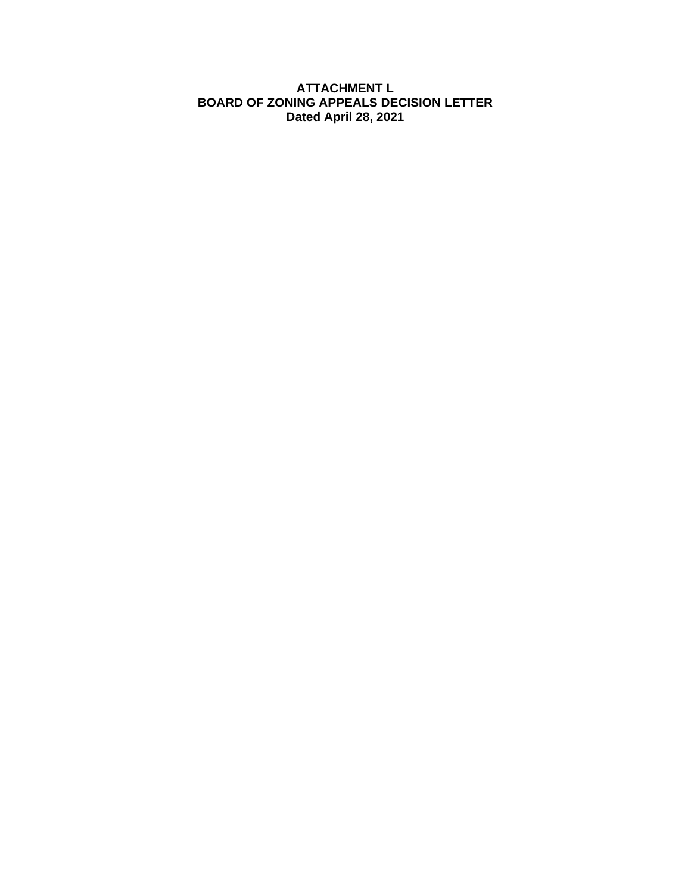## **ATTACHMENT L BOARD OF ZONING APPEALS DECISION LETTER Dated April 28, 2021**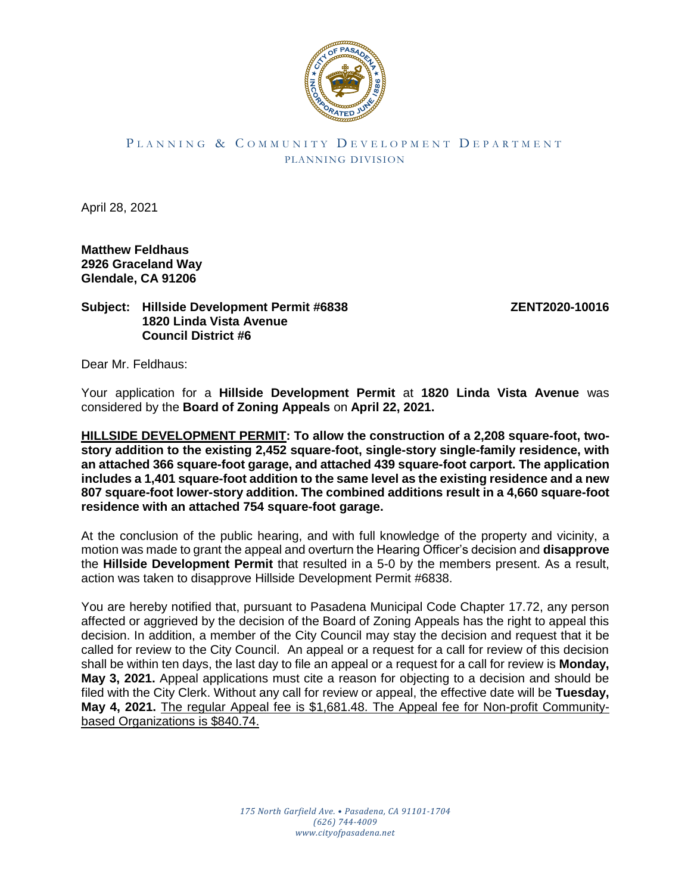

## PLANNING & COMMUNITY DEVELOPMENT DEPARTMENT PLANNING DIVISION

April 28, 2021

**Matthew Feldhaus 2926 Graceland Way Glendale, CA 91206**

## **Subject: Hillside Development Permit #6838 ZENT2020-10016 1820 Linda Vista Avenue Council District #6**

Dear Mr. Feldhaus:

Your application for a **Hillside Development Permit** at **1820 Linda Vista Avenue** was considered by the **Board of Zoning Appeals** on **April 22, 2021.**

**HILLSIDE DEVELOPMENT PERMIT: To allow the construction of a 2,208 square-foot, twostory addition to the existing 2,452 square-foot, single-story single-family residence, with an attached 366 square-foot garage, and attached 439 square-foot carport. The application includes a 1,401 square-foot addition to the same level as the existing residence and a new 807 square-foot lower-story addition. The combined additions result in a 4,660 square-foot residence with an attached 754 square-foot garage.**

At the conclusion of the public hearing, and with full knowledge of the property and vicinity, a motion was made to grant the appeal and overturn the Hearing Officer's decision and **disapprove** the **Hillside Development Permit** that resulted in a 5-0 by the members present. As a result, action was taken to disapprove Hillside Development Permit #6838.

You are hereby notified that, pursuant to Pasadena Municipal Code Chapter 17.72, any person affected or aggrieved by the decision of the Board of Zoning Appeals has the right to appeal this decision. In addition, a member of the City Council may stay the decision and request that it be called for review to the City Council. An appeal or a request for a call for review of this decision shall be within ten days, the last day to file an appeal or a request for a call for review is **Monday, May 3, 2021.** Appeal applications must cite a reason for objecting to a decision and should be filed with the City Clerk. Without any call for review or appeal, the effective date will be **Tuesday, May 4, 2021.** The regular Appeal fee is \$1,681.48. The Appeal fee for Non-profit Communitybased Organizations is \$840.74.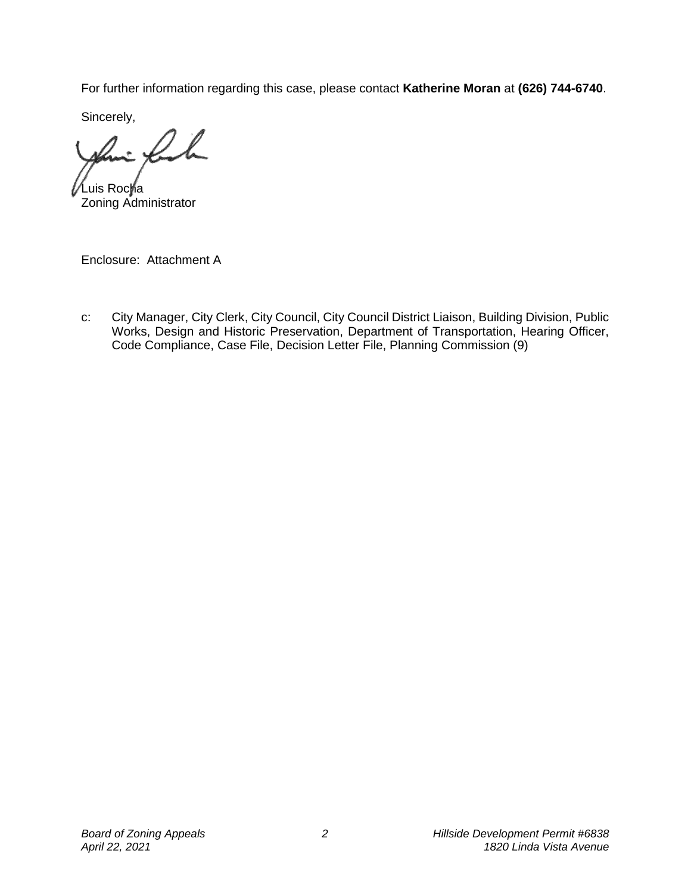For further information regarding this case, please contact **Katherine Moran** at **(626) 744-6740**.

Sincerely,

Ih  $\sqrt{2}$ 

Luis Rocha Zoning Administrator

Enclosure: Attachment A

c: City Manager, City Clerk, City Council, City Council District Liaison, Building Division, Public Works, Design and Historic Preservation, Department of Transportation, Hearing Officer, Code Compliance, Case File, Decision Letter File, Planning Commission (9)